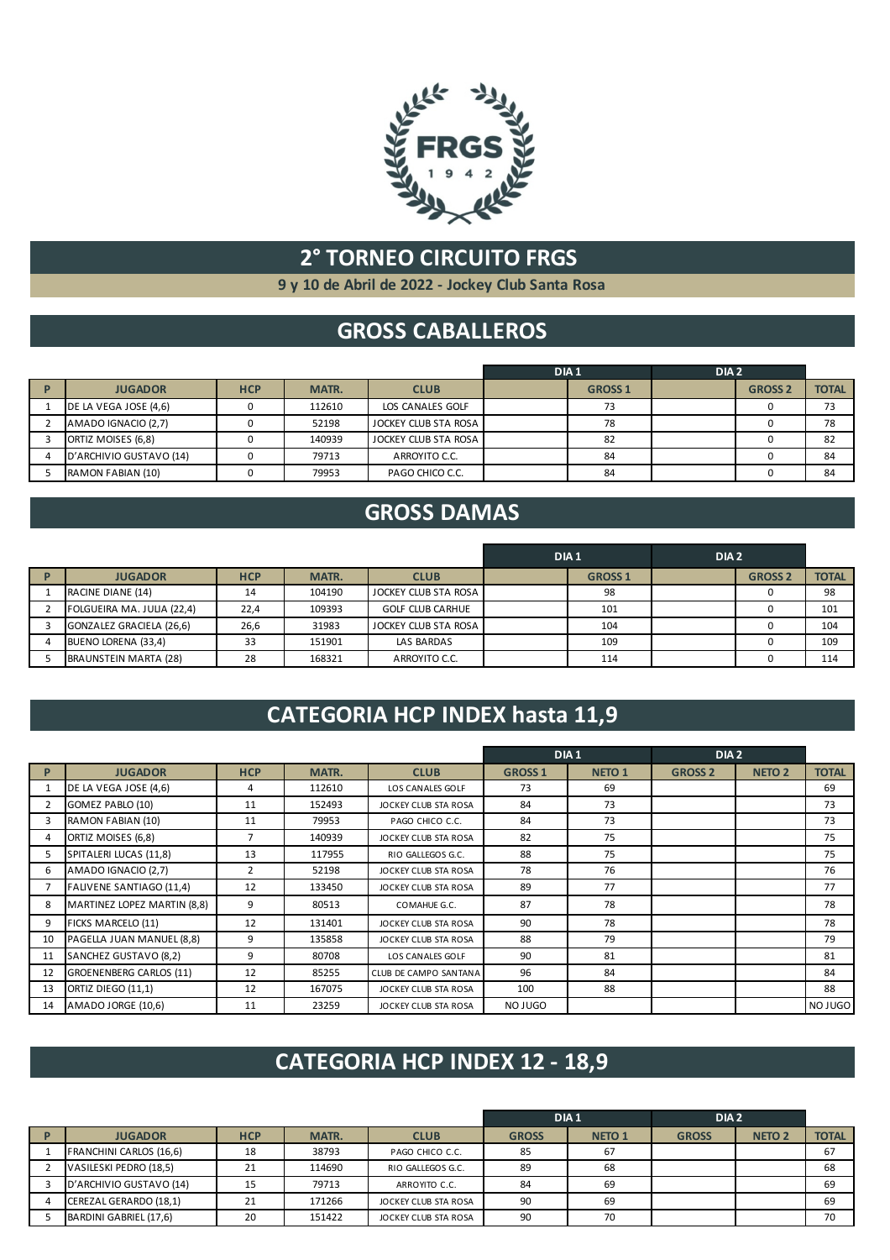

#### **2° TORNEO CIRCUITO FRGS**

**9 y 10 de Abril de 2022 - Jockey Club Santa Rosa**

## **GROSS CABALLEROS**

|                         |            |        |                      | DIA <sub>1</sub> |                | DIA <sub>2</sub> |                |              |
|-------------------------|------------|--------|----------------------|------------------|----------------|------------------|----------------|--------------|
| <b>JUGADOR</b>          | <b>HCP</b> | MATR.  | <b>CLUB</b>          |                  | <b>GROSS 1</b> |                  | <b>GROSS 2</b> | <b>TOTAL</b> |
| DE LA VEGA JOSE (4,6)   |            | 112610 | LOS CANALES GOLF     |                  | 73             |                  |                | 73           |
| AMADO IGNACIO (2,7)     |            | 52198  | JOCKEY CLUB STA ROSA |                  | 78             |                  |                | 78           |
| ORTIZ MOISES (6,8)      |            | 140939 | JOCKEY CLUB STA ROSA |                  | 82             |                  |                | 82           |
| D'ARCHIVIO GUSTAVO (14) |            | 79713  | ARROYITO C.C.        |                  | 84             |                  |                | 84           |
| RAMON FABIAN (10)       |            | 79953  | PAGO CHICO C.C.      |                  | 84             |                  |                | 84           |

#### **GROSS DAMAS**

|                            |            |        |                         | DIA <sub>1</sub> |                | DIA <sub>2</sub> |                |              |
|----------------------------|------------|--------|-------------------------|------------------|----------------|------------------|----------------|--------------|
| <b>JUGADOR</b>             | <b>HCP</b> | MATR.  | <b>CLUB</b>             |                  | <b>GROSS 1</b> |                  | <b>GROSS 2</b> | <b>TOTAL</b> |
| RACINE DIANE (14)          | 14         | 104190 | JOCKEY CLUB STA ROSA    |                  | 98             |                  |                | 98           |
| FOLGUEIRA MA. JULIA (22,4) | 22,4       | 109393 | <b>GOLF CLUB CARHUE</b> |                  | 101            |                  |                | 101          |
| GONZALEZ GRACIELA (26,6)   | 26,6       | 31983  | JOCKEY CLUB STA ROSA    |                  | 104            |                  |                | 104          |
| BUENO LORENA (33,4)        | 33         | 151901 | LAS BARDAS              |                  | 109            |                  |                | 109          |
| BRAUNSTEIN MARTA (28)      | 28         | 168321 | ARROYITO C.C.           |                  | 114            |                  |                | 114          |

## **CATEGORIA HCP INDEX hasta 11,9**

|    |                                 |            |        |                       |                | DIA <sub>1</sub> | DIA <sub>2</sub> |               |              |
|----|---------------------------------|------------|--------|-----------------------|----------------|------------------|------------------|---------------|--------------|
| P  | <b>JUGADOR</b>                  | <b>HCP</b> | MATR.  | <b>CLUB</b>           | <b>GROSS 1</b> | <b>NETO 1</b>    | <b>GROSS 2</b>   | <b>NETO 2</b> | <b>TOTAL</b> |
|    | DE LA VEGA JOSE (4,6)           | 4          | 112610 | LOS CANALES GOLF      | 73             | 69               |                  |               | 69           |
|    | GOMEZ PABLO (10)                | 11         | 152493 | JOCKEY CLUB STA ROSA  | 84             | 73               |                  |               | 73           |
|    | RAMON FABIAN (10)               | 11         | 79953  | PAGO CHICO C.C.       | 84             | 73               |                  |               | 73           |
| 4  | ORTIZ MOISES (6,8)              |            | 140939 | JOCKEY CLUB STA ROSA  | 82             | 75               |                  |               | 75           |
| 5  | SPITALERI LUCAS (11,8)          | 13         | 117955 | RIO GALLEGOS G.C.     | 88             | 75               |                  |               | 75           |
| 6  | AMADO IGNACIO (2,7)             | 2          | 52198  | JOCKEY CLUB STA ROSA  | 78             | 76               |                  |               | 76           |
|    | <b>FALIVENE SANTIAGO (11,4)</b> | 12         | 133450 | JOCKEY CLUB STA ROSA  | 89             | 77               |                  |               | 77           |
| 8  | MARTINEZ LOPEZ MARTIN (8,8)     | 9          | 80513  | COMAHUE G.C.          | 87             | 78               |                  |               | 78           |
| 9  | FICKS MARCELO (11)              | 12         | 131401 | JOCKEY CLUB STA ROSA  | 90             | 78               |                  |               | 78           |
| 10 | PAGELLA JUAN MANUEL (8,8)       | 9          | 135858 | JOCKEY CLUB STA ROSA  | 88             | 79               |                  |               | 79           |
| 11 | SANCHEZ GUSTAVO (8,2)           | 9          | 80708  | LOS CANALES GOLF      | 90             | 81               |                  |               | 81           |
| 12 | <b>GROENENBERG CARLOS (11)</b>  | 12         | 85255  | CLUB DE CAMPO SANTANA | 96             | 84               |                  |               | 84           |
| 13 | ORTIZ DIEGO (11,1)              | 12         | 167075 | JOCKEY CLUB STA ROSA  | 100            | 88               |                  |               | 88           |
| 14 | AMADO JORGE (10,6)              | 11         | 23259  | JOCKEY CLUB STA ROSA  | NO JUGO        |                  |                  |               | NO JUGO      |

## **CATEGORIA HCP INDEX 12 - 18,9**

|                         |            |        |                      | DIA <sub>1</sub> |               | DIA <sub>2</sub> |               |              |
|-------------------------|------------|--------|----------------------|------------------|---------------|------------------|---------------|--------------|
| <b>JUGADOR</b>          | <b>HCP</b> | MATR.  | <b>CLUB</b>          | <b>GROSS</b>     | <b>NETO 1</b> | <b>GROSS</b>     | <b>NETO 2</b> | <b>TOTAL</b> |
| FRANCHINI CARLOS (16,6) | 18         | 38793  | PAGO CHICO C.C.      | 85               | 67            |                  |               | 67           |
| VASILESKI PEDRO (18,5)  | 21         | 114690 | RIO GALLEGOS G.C.    | 89               | 68            |                  |               | 68           |
| D'ARCHIVIO GUSTAVO (14) | 15         | 79713  | ARROYITO C.C.        | 84               | 69            |                  |               | 69           |
| CEREZAL GERARDO (18,1)  | 21         | 171266 | JOCKEY CLUB STA ROSA | 90               | 69            |                  |               | 69           |
| BARDINI GABRIEL (17,6)  | 20         | 151422 | JOCKEY CLUB STA ROSA | 90               | 70            |                  |               | 70           |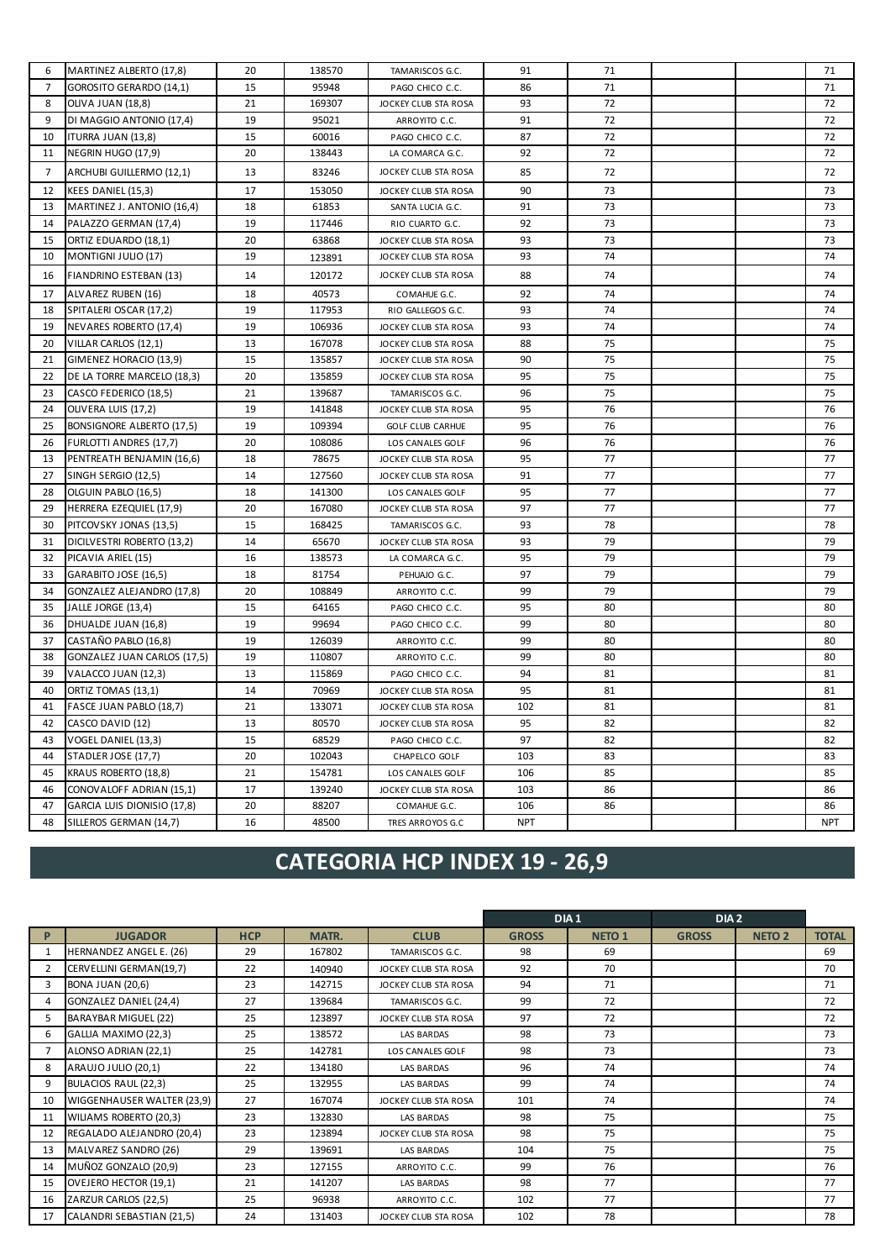| 6              | MARTINEZ ALBERTO (17,8)          | 20 | 138570 | TAMARISCOS G.C.         | 91         | 71 |  | 71         |
|----------------|----------------------------------|----|--------|-------------------------|------------|----|--|------------|
| $\overline{7}$ | GOROSITO GERARDO (14,1)          | 15 | 95948  | PAGO CHICO C.C.         | 86         | 71 |  | 71         |
| 8              | OLIVA JUAN (18,8)                | 21 | 169307 | JOCKEY CLUB STA ROSA    | 93         | 72 |  | 72         |
| 9              | DI MAGGIO ANTONIO (17,4)         | 19 | 95021  | ARROYITO C.C.           | 91         | 72 |  | 72         |
| 10             | <b>ITURRA JUAN (13,8)</b>        | 15 | 60016  | PAGO CHICO C.C.         | 87         | 72 |  | 72         |
| 11             | NEGRIN HUGO (17,9)               | 20 | 138443 | LA COMARCA G.C.         | 92         | 72 |  | 72         |
| $\overline{7}$ | ARCHUBI GUILLERMO (12,1)         | 13 | 83246  | JOCKEY CLUB STA ROSA    | 85         | 72 |  | 72         |
| 12             | KEES DANIEL (15,3)               | 17 | 153050 | JOCKEY CLUB STA ROSA    | 90         | 73 |  | 73         |
| 13             | MARTINEZ J. ANTONIO (16,4)       | 18 | 61853  | SANTA LUCIA G.C.        | 91         | 73 |  | 73         |
| 14             | PALAZZO GERMAN (17,4)            | 19 | 117446 | RIO CUARTO G.C.         | 92         | 73 |  | 73         |
| 15             | ORTIZ EDUARDO (18,1)             | 20 | 63868  | JOCKEY CLUB STA ROSA    | 93         | 73 |  | 73         |
| 10             | MONTIGNI JULIO (17)              | 19 | 123891 | JOCKEY CLUB STA ROSA    | 93         | 74 |  | 74         |
| 16             | FIANDRINO ESTEBAN (13)           | 14 | 120172 | JOCKEY CLUB STA ROSA    | 88         | 74 |  | 74         |
| 17             | ALVAREZ RUBEN (16)               | 18 | 40573  | COMAHUE G.C.            | 92         | 74 |  | 74         |
| 18             | SPITALERI OSCAR (17,2)           | 19 | 117953 | RIO GALLEGOS G.C.       | 93         | 74 |  | 74         |
| 19             | NEVARES ROBERTO (17,4)           | 19 | 106936 | JOCKEY CLUB STA ROSA    | 93         | 74 |  | 74         |
| 20             | VILLAR CARLOS (12,1)             | 13 | 167078 | JOCKEY CLUB STA ROSA    | 88         | 75 |  | 75         |
| 21             | GIMENEZ HORACIO (13,9)           | 15 | 135857 | JOCKEY CLUB STA ROSA    | 90         | 75 |  | 75         |
| 22             | DE LA TORRE MARCELO (18,3)       | 20 | 135859 | JOCKEY CLUB STA ROSA    | 95         | 75 |  | 75         |
| 23             | CASCO FEDERICO (18,5)            | 21 | 139687 | TAMARISCOS G.C.         | 96         | 75 |  | 75         |
| 24             | OLIVERA LUIS (17,2)              | 19 | 141848 | JOCKEY CLUB STA ROSA    | 95         | 76 |  | 76         |
| 25             | <b>BONSIGNORE ALBERTO (17,5)</b> | 19 | 109394 | <b>GOLF CLUB CARHUE</b> | 95         | 76 |  | 76         |
| 26             | FURLOTTI ANDRES (17,7)           | 20 | 108086 | LOS CANALES GOLF        | 96         | 76 |  | 76         |
| 13             | PENTREATH BENJAMIN (16,6)        | 18 | 78675  | JOCKEY CLUB STA ROSA    | 95         | 77 |  | 77         |
| 27             | SINGH SERGIO (12,5)              | 14 | 127560 | JOCKEY CLUB STA ROSA    | 91         | 77 |  | 77         |
| 28             | OLGUIN PABLO (16,5)              | 18 | 141300 | LOS CANALES GOLF        | 95         | 77 |  | 77         |
| 29             | HERRERA EZEQUIEL (17,9)          | 20 | 167080 | JOCKEY CLUB STA ROSA    | 97         | 77 |  | 77         |
| 30             | PITCOVSKY JONAS (13,5)           | 15 | 168425 | TAMARISCOS G.C.         | 93         | 78 |  | 78         |
| 31             | DICILVESTRI ROBERTO (13,2)       | 14 | 65670  | JOCKEY CLUB STA ROSA    | 93         | 79 |  | 79         |
| 32             | PICAVIA ARIEL (15)               | 16 | 138573 | LA COMARCA G.C.         | 95         | 79 |  | 79         |
| 33             | GARABITO JOSE (16,5)             | 18 | 81754  | PEHUAJO G.C.            | 97         | 79 |  | 79         |
| 34             | GONZALEZ ALEJANDRO (17,8)        | 20 | 108849 | ARROYITO C.C.           | 99         | 79 |  | 79         |
| 35             | JALLE JORGE (13,4)               | 15 | 64165  | PAGO CHICO C.C.         | 95         | 80 |  | 80         |
| 36             | DHUALDE JUAN (16,8)              | 19 | 99694  | PAGO CHICO C.C.         | 99         | 80 |  | 80         |
| 37             | CASTAÑO PABLO (16,8)             | 19 | 126039 | ARROYITO C.C.           | 99         | 80 |  | 80         |
| 38             | GONZALEZ JUAN CARLOS (17,5)      | 19 | 110807 | ARROYITO C.C.           | 99         | 80 |  | 80         |
| 39             | VALACCO JUAN (12,3)              | 13 | 115869 | PAGO CHICO C.C.         | 94         | 81 |  | 81         |
| 40             | ORTIZ TOMAS (13,1)               | 14 | 70969  | JOCKEY CLUB STA ROSA    | 95         | 81 |  | 81         |
| 41             | FASCE JUAN PABLO (18,7)          | 21 | 133071 | JOCKEY CLUB STA ROSA    | 102        | 81 |  | 81         |
| 42             | CASCO DAVID (12)                 | 13 | 80570  | JOCKEY CLUB STA ROSA    | 95         | 82 |  | 82         |
| 43             | VOGEL DANIEL (13,3)              | 15 | 68529  | PAGO CHICO C.C.         | 97         | 82 |  | 82         |
| 44             | STADLER JOSE (17,7)              | 20 | 102043 | CHAPELCO GOLF           | 103        | 83 |  | 83         |
| 45             | KRAUS ROBERTO (18,8)             | 21 | 154781 | LOS CANALES GOLF        | 106        | 85 |  | 85         |
| 46             | CONOVALOFF ADRIAN (15,1)         | 17 | 139240 | JOCKEY CLUB STA ROSA    | 103        | 86 |  | 86         |
| 47             | GARCIA LUIS DIONISIO (17,8)      | 20 | 88207  | COMAHUE G.C.            | 106        | 86 |  | 86         |
| 48             | SILLEROS GERMAN (14,7)           | 16 | 48500  | TRES ARROYOS G.C        | <b>NPT</b> |    |  | <b>NPT</b> |

# **CATEGORIA HCP INDEX 19 - 26,9**

|    |                             |            |        |                      |              | DIA <sub>1</sub> | DIA <sub>2</sub> |               |              |
|----|-----------------------------|------------|--------|----------------------|--------------|------------------|------------------|---------------|--------------|
| P  | <b>JUGADOR</b>              | <b>HCP</b> | MATR.  | <b>CLUB</b>          | <b>GROSS</b> | <b>NETO 1</b>    | <b>GROSS</b>     | <b>NETO 2</b> | <b>TOTAL</b> |
|    | HERNANDEZ ANGEL E. (26)     | 29         | 167802 | TAMARISCOS G.C.      | 98           | 69               |                  |               | 69           |
| 2  | CERVELLINI GERMAN(19,7)     | 22         | 140940 | JOCKEY CLUB STA ROSA | 92           | 70               |                  |               | 70           |
| 3  | <b>BONA JUAN (20,6)</b>     | 23         | 142715 | JOCKEY CLUB STA ROSA | 94           | 71               |                  |               | 71           |
| 4  | GONZALEZ DANIEL (24,4)      | 27         | 139684 | TAMARISCOS G.C.      | 99           | 72               |                  |               | 72           |
| 5  | <b>BARAYBAR MIGUEL (22)</b> | 25         | 123897 | JOCKEY CLUB STA ROSA | 97           | 72               |                  |               | 72           |
| 6  | GALLIA MAXIMO (22,3)        | 25         | 138572 | <b>LAS BARDAS</b>    | 98           | 73               |                  |               | 73           |
|    | ALONSO ADRIAN (22,1)        | 25         | 142781 | LOS CANALES GOLF     | 98           | 73               |                  |               | 73           |
| 8  | ARAUJO JULIO (20,1)         | 22         | 134180 | <b>LAS BARDAS</b>    | 96           | 74               |                  |               | 74           |
| 9  | BULACIOS RAUL (22,3)        | 25         | 132955 | <b>LAS BARDAS</b>    | 99           | 74               |                  |               | 74           |
| 10 | WIGGENHAUSER WALTER (23,9)  | 27         | 167074 | JOCKEY CLUB STA ROSA | 101          | 74               |                  |               | 74           |
| 11 | WILIAMS ROBERTO (20,3)      | 23         | 132830 | <b>LAS BARDAS</b>    | 98           | 75               |                  |               | 75           |
| 12 | REGALADO ALEJANDRO (20,4)   | 23         | 123894 | JOCKEY CLUB STA ROSA | 98           | 75               |                  |               | 75           |
| 13 | MALVAREZ SANDRO (26)        | 29         | 139691 | LAS BARDAS           | 104          | 75               |                  |               | 75           |
| 14 | MUÑOZ GONZALO (20,9)        | 23         | 127155 | ARROYITO C.C.        | 99           | 76               |                  |               | 76           |
| 15 | OVEJERO HECTOR (19,1)       | 21         | 141207 | <b>LAS BARDAS</b>    | 98           | 77               |                  |               | 77           |
| 16 | ZARZUR CARLOS (22,5)        | 25         | 96938  | ARROYITO C.C.        | 102          | 77               |                  |               | 77           |
| 17 | CALANDRI SEBASTIAN (21,5)   | 24         | 131403 | JOCKEY CLUB STA ROSA | 102          | 78               |                  |               | 78           |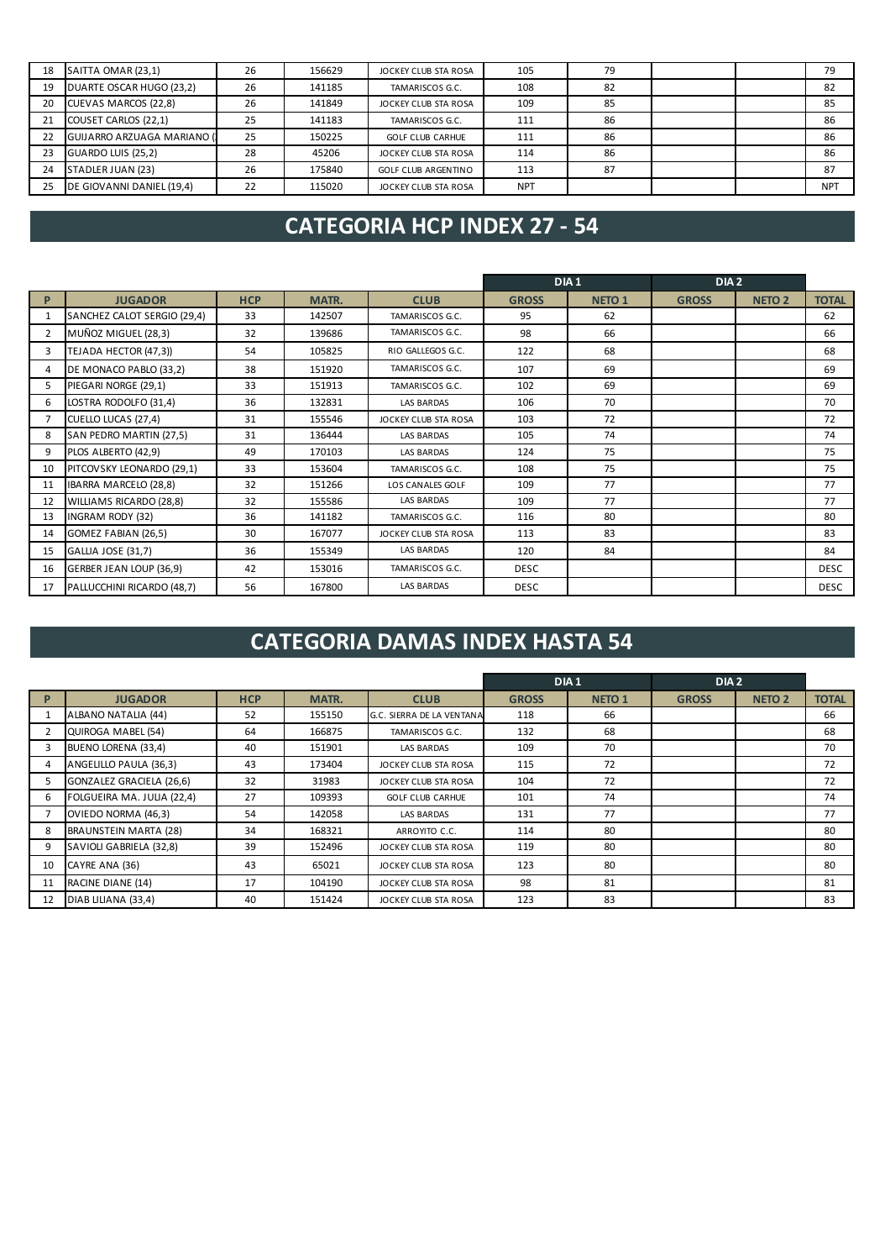| 18 | SAITTA OMAR (23,1)          | 26 | 156629 | JOCKEY CLUB STA ROSA       | 105        | 79 |  | 79             |
|----|-----------------------------|----|--------|----------------------------|------------|----|--|----------------|
| 19 | DUARTE OSCAR HUGO (23,2)    | 26 | 141185 | TAMARISCOS G.C.            | 108        | 82 |  | 82             |
| 20 | CUEVAS MARCOS (22,8)        | 26 | 141849 | JOCKEY CLUB STA ROSA       | 109        | 85 |  | 85             |
| 21 | COUSET CARLOS (22,1)        | 25 | 141183 | TAMARISCOS G.C.            | 111        | 86 |  | 86             |
| 22 | GUIJARRO ARZUAGA MARIANO (1 | 25 | 150225 | <b>GOLF CLUB CARHUE</b>    | 111        | 86 |  | 86             |
| 23 | GUARDO LUIS (25,2)          | 28 | 45206  | JOCKEY CLUB STA ROSA       | 114        | 86 |  | 86             |
| 24 | STADLER JUAN (23)           | 26 | 175840 | <b>GOLF CLUB ARGENTINO</b> | 113        | 87 |  | 87             |
| 25 | DE GIOVANNI DANIEL (19,4)   | 22 | 115020 | JOCKEY CLUB STA ROSA       | <b>NPT</b> |    |  | N <sub>P</sub> |

## **CATEGORIA HCP INDEX 27 - 54**

|    |                             |            |        |                         |              | DIA <sub>1</sub> | DIA <sub>2</sub> |               |              |
|----|-----------------------------|------------|--------|-------------------------|--------------|------------------|------------------|---------------|--------------|
| P  | <b>JUGADOR</b>              | <b>HCP</b> | MATR.  | <b>CLUB</b>             | <b>GROSS</b> | <b>NETO 1</b>    | <b>GROSS</b>     | <b>NETO 2</b> | <b>TOTAL</b> |
|    | SANCHEZ CALOT SERGIO (29,4) | 33         | 142507 | TAMARISCOS G.C.         | 95           | 62               |                  |               | 62           |
|    | MUÑOZ MIGUEL (28,3)         | 32         | 139686 | TAMARISCOS G.C.         | 98           | 66               |                  |               | 66           |
| 3  | TEJADA HECTOR (47,3))       | 54         | 105825 | RIO GALLEGOS G.C.       | 122          | 68               |                  |               | 68           |
| 4  | DE MONACO PABLO (33,2)      | 38         | 151920 | TAMARISCOS G.C.         | 107          | 69               |                  |               | 69           |
| 5. | PIEGARI NORGE (29,1)        | 33         | 151913 | TAMARISCOS G.C.         | 102          | 69               |                  |               | 69           |
| 6  | LOSTRA RODOLFO (31,4)       | 36         | 132831 | <b>LAS BARDAS</b>       | 106          | 70               |                  |               | 70           |
|    | CUELLO LUCAS (27,4)         | 31         | 155546 | JOCKEY CLUB STA ROSA    | 103          | 72               |                  |               | 72           |
| 8  | SAN PEDRO MARTIN (27,5)     | 31         | 136444 | <b>LAS BARDAS</b>       | 105          | 74               |                  |               | 74           |
| 9  | PLOS ALBERTO (42,9)         | 49         | 170103 | <b>LAS BARDAS</b>       | 124          | 75               |                  |               | 75           |
| 10 | PITCOVSKY LEONARDO (29,1)   | 33         | 153604 | TAMARISCOS G.C.         | 108          | 75               |                  |               | 75           |
| 11 | IBARRA MARCELO (28,8)       | 32         | 151266 | <b>LOS CANALES GOLF</b> | 109          | 77               |                  |               | 77           |
| 12 | WILLIAMS RICARDO (28,8)     | 32         | 155586 | <b>LAS BARDAS</b>       | 109          | 77               |                  |               | 77           |
| 13 | INGRAM RODY (32)            | 36         | 141182 | TAMARISCOS G.C.         | 116          | 80               |                  |               | 80           |
| 14 | GOMEZ FABIAN (26,5)         | 30         | 167077 | JOCKEY CLUB STA ROSA    | 113          | 83               |                  |               | 83           |
| 15 | <b>GALLIA JOSE (31,7)</b>   | 36         | 155349 | <b>LAS BARDAS</b>       | 120          | 84               |                  |               | 84           |
| 16 | GERBER JEAN LOUP (36,9)     | 42         | 153016 | TAMARISCOS G.C.         | <b>DESC</b>  |                  |                  |               | <b>DESC</b>  |
| 17 | PALLUCCHINI RICARDO (48,7)  | 56         | 167800 | <b>LAS BARDAS</b>       | <b>DESC</b>  |                  |                  |               | <b>DESC</b>  |

## **CATEGORIA DAMAS INDEX HASTA 54**

|              |                            |            |        |                           |              | DIA <sub>1</sub> | DIA <sub>2</sub> |               |              |
|--------------|----------------------------|------------|--------|---------------------------|--------------|------------------|------------------|---------------|--------------|
| $\mathsf{P}$ | <b>JUGADOR</b>             | <b>HCP</b> | MATR.  | <b>CLUB</b>               | <b>GROSS</b> | <b>NETO 1</b>    | <b>GROSS</b>     | <b>NETO 2</b> | <b>TOTAL</b> |
|              | ALBANO NATALIA (44)        | 52         | 155150 | G.C. SIERRA DE LA VENTANA | 118          | 66               |                  |               | 66           |
|              | QUIROGA MABEL (54)         | 64         | 166875 | TAMARISCOS G.C.           | 132          | 68               |                  |               | 68           |
|              | BUENO LORENA (33,4)        | 40         | 151901 | <b>LAS BARDAS</b>         | 109          | 70               |                  |               | 70           |
|              | ANGELILLO PAULA (36,3)     | 43         | 173404 | JOCKEY CLUB STA ROSA      | 115          | 72               |                  |               | 72           |
|              | GONZALEZ GRACIELA (26,6)   | 32         | 31983  | JOCKEY CLUB STA ROSA      | 104          | 72               |                  |               | 72           |
| 6            | FOLGUEIRA MA. JULIA (22,4) | 27         | 109393 | <b>GOLF CLUB CARHUE</b>   | 101          | 74               |                  |               | 74           |
|              | OVIEDO NORMA (46,3)        | 54         | 142058 | <b>LAS BARDAS</b>         | 131          | 77               |                  |               | 77           |
| 8            | BRAUNSTEIN MARTA (28)      | 34         | 168321 | ARROYITO C.C.             | 114          | 80               |                  |               | 80           |
| 9            | SAVIOLI GABRIELA (32,8)    | 39         | 152496 | JOCKEY CLUB STA ROSA      | 119          | 80               |                  |               | 80           |
| 10           | CAYRE ANA (36)             | 43         | 65021  | JOCKEY CLUB STA ROSA      | 123          | 80               |                  |               | 80           |
| 11           | RACINE DIANE (14)          | 17         | 104190 | JOCKEY CLUB STA ROSA      | 98           | 81               |                  |               | 81           |
| 12           | DIAB LILIANA (33,4)        | 40         | 151424 | JOCKEY CLUB STA ROSA      | 123          | 83               |                  |               | 83           |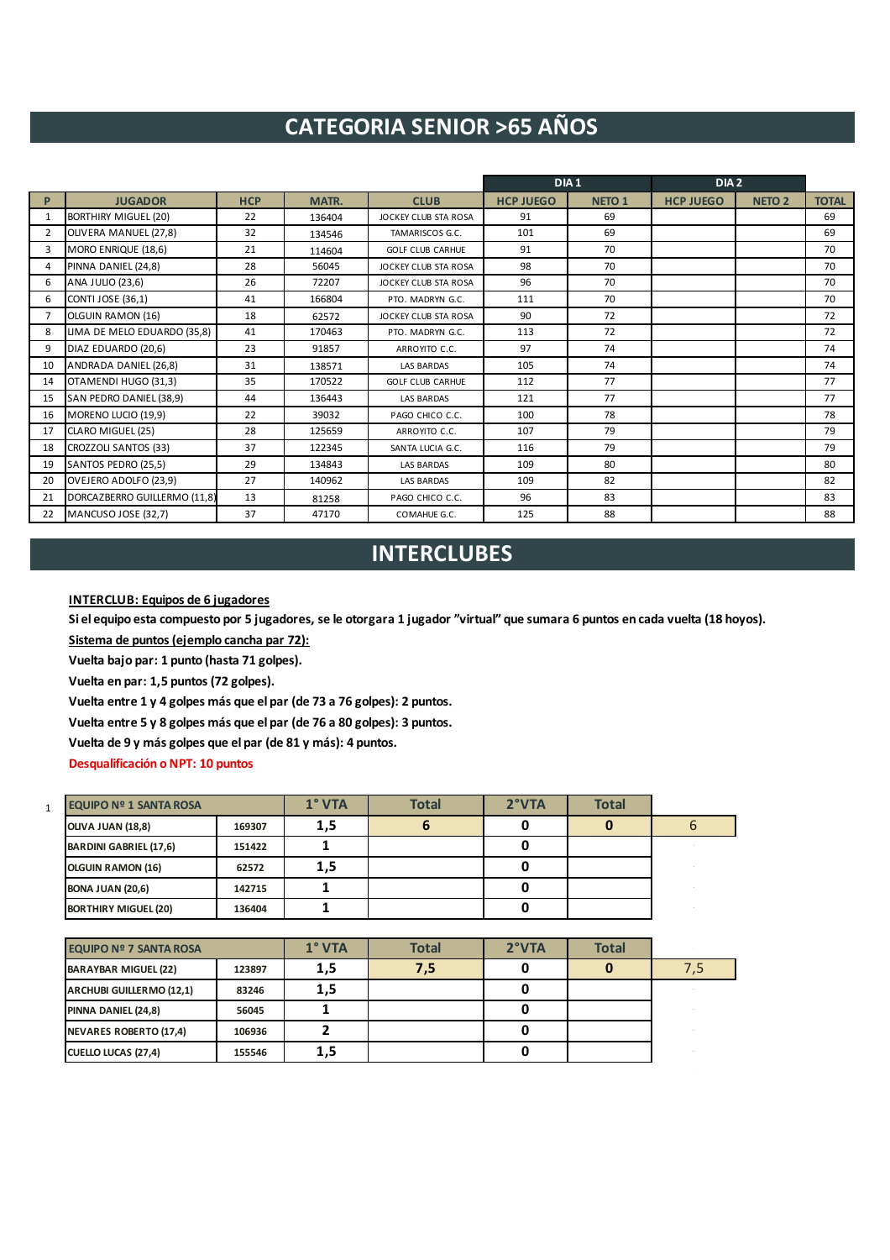#### **CATEGORIA SENIOR >65 AÑOS**

|                |                              |            |              |                         |                  | DIA <sub>1</sub> | DIA <sub>2</sub> |               |              |
|----------------|------------------------------|------------|--------------|-------------------------|------------------|------------------|------------------|---------------|--------------|
| P              | <b>JUGADOR</b>               | <b>HCP</b> | <b>MATR.</b> | <b>CLUB</b>             | <b>HCP JUEGO</b> | <b>NETO 1</b>    | <b>HCP JUEGO</b> | <b>NETO 2</b> | <b>TOTAL</b> |
|                | <b>BORTHIRY MIGUEL (20)</b>  | 22         | 136404       | JOCKEY CLUB STA ROSA    | 91               | 69               |                  |               | 69           |
| $\overline{2}$ | OLIVERA MANUEL (27,8)        | 32         | 134546       | TAMARISCOS G.C.         | 101              | 69               |                  |               | 69           |
| 3              | MORO ENRIQUE (18,6)          | 21         | 114604       | <b>GOLF CLUB CARHUE</b> | 91               | 70               |                  |               | 70           |
| 4              | PINNA DANIEL (24,8)          | 28         | 56045        | JOCKEY CLUB STA ROSA    | 98               | 70               |                  |               | 70           |
| 6              | ANA JULIO (23,6)             | 26         | 72207        | JOCKEY CLUB STA ROSA    | 96               | 70               |                  |               | 70           |
| 6              | <b>CONTI JOSE (36,1)</b>     | 41         | 166804       | PTO. MADRYN G.C.        | 111              | 70               |                  |               | 70           |
| $\overline{7}$ | OLGUIN RAMON (16)            | 18         | 62572        | JOCKEY CLUB STA ROSA    | 90               | 72               |                  |               | 72           |
| 8              | LIMA DE MELO EDUARDO (35,8)  | 41         | 170463       | PTO. MADRYN G.C.        | 113              | 72               |                  |               | 72           |
| 9              | DIAZ EDUARDO (20,6)          | 23         | 91857        | ARROYITO C.C.           | 97               | 74               |                  |               | 74           |
| 10             | ANDRADA DANIEL (26,8)        | 31         | 138571       | <b>LAS BARDAS</b>       | 105              | 74               |                  |               | 74           |
| 14             | OTAMENDI HUGO (31,3)         | 35         | 170522       | <b>GOLF CLUB CARHUE</b> | 112              | 77               |                  |               | 77           |
| 15             | SAN PEDRO DANIEL (38,9)      | 44         | 136443       | <b>LAS BARDAS</b>       | 121              | 77               |                  |               | 77           |
| 16             | MORENO LUCIO (19,9)          | 22         | 39032        | PAGO CHICO C.C.         | 100              | 78               |                  |               | 78           |
| 17             | CLARO MIGUEL (25)            | 28         | 125659       | ARROYITO C.C.           | 107              | 79               |                  |               | 79           |
| 18             | CROZZOLI SANTOS (33)         | 37         | 122345       | SANTA LUCIA G.C.        | 116              | 79               |                  |               | 79           |
| 19             | SANTOS PEDRO (25,5)          | 29         | 134843       | <b>LAS BARDAS</b>       | 109              | 80               |                  |               | 80           |
| 20             | OVEJERO ADOLFO (23,9)        | 27         | 140962       | <b>LAS BARDAS</b>       | 109              | 82               |                  |               | 82           |
| 21             | DORCAZBERRO GUILLERMO (11,8) | 13         | 81258        | PAGO CHICO C.C.         | 96               | 83               |                  |               | 83           |
| 22             | MANCUSO JOSE (32,7)          | 37         | 47170        | COMAHUE G.C.            | 125              | 88               |                  |               | 88           |

#### **INTERCLUBES**

#### **INTERCLUB: Equipos de 6 jugadores**

**Sistema de puntos (ejemplo cancha par 72): Si el equipo esta compuesto por 5 jugadores, se le otorgara 1 jugador "virtual" que sumara 6 puntos en cada vuelta (18 hoyos).**

**Vuelta bajo par: 1 punto (hasta 71 golpes).**

**Vuelta en par: 1,5 puntos (72 golpes).**

**Vuelta entre 1 y 4 golpes más que el par (de 73 a 76 golpes): 2 puntos.**

**Vuelta entre 5 y 8 golpes más que el par (de 76 a 80 golpes): 3 puntos.**

**Vuelta de 9 y más golpes que el par (de 81 y más): 4 puntos.**

**Desqualificación o NPT: 10 puntos**

| <b>EQUIPO Nº 1 SANTA ROSA</b> |        | $1°$ VTA | <b>Total</b> | 2°VTA | <b>Total</b> |   |  |
|-------------------------------|--------|----------|--------------|-------|--------------|---|--|
| OLIVA JUAN (18,8)             | 169307 | 1,5      |              |       |              | O |  |
| <b>BARDINI GABRIEL (17,6)</b> | 151422 |          |              |       |              |   |  |
| <b>OLGUIN RAMON (16)</b>      | 62572  | 1,5      |              |       |              |   |  |
| <b>BONA JUAN (20,6)</b>       | 142715 |          |              |       |              |   |  |
| <b>BORTHIRY MIGUEL (20)</b>   | 136404 |          |              |       |              |   |  |

| <b>EQUIPO Nº 7 SANTA ROSA</b>   |        | $1^\circ$ VTA | <b>Total</b> | 2°VTA | <b>Total</b> |     |  |
|---------------------------------|--------|---------------|--------------|-------|--------------|-----|--|
| <b>BARAYBAR MIGUEL (22)</b>     | 123897 | 1,5           | 7,5          |       |              | 7,5 |  |
| <b>ARCHUBI GUILLERMO (12,1)</b> | 83246  | 1,5           |              |       |              |     |  |
| PINNA DANIEL (24,8)             | 56045  |               |              |       |              |     |  |
| NEVARES ROBERTO (17,4)          | 106936 |               |              |       |              |     |  |
| <b>CUELLO LUCAS (27,4)</b>      | 155546 | 1,5           |              |       |              |     |  |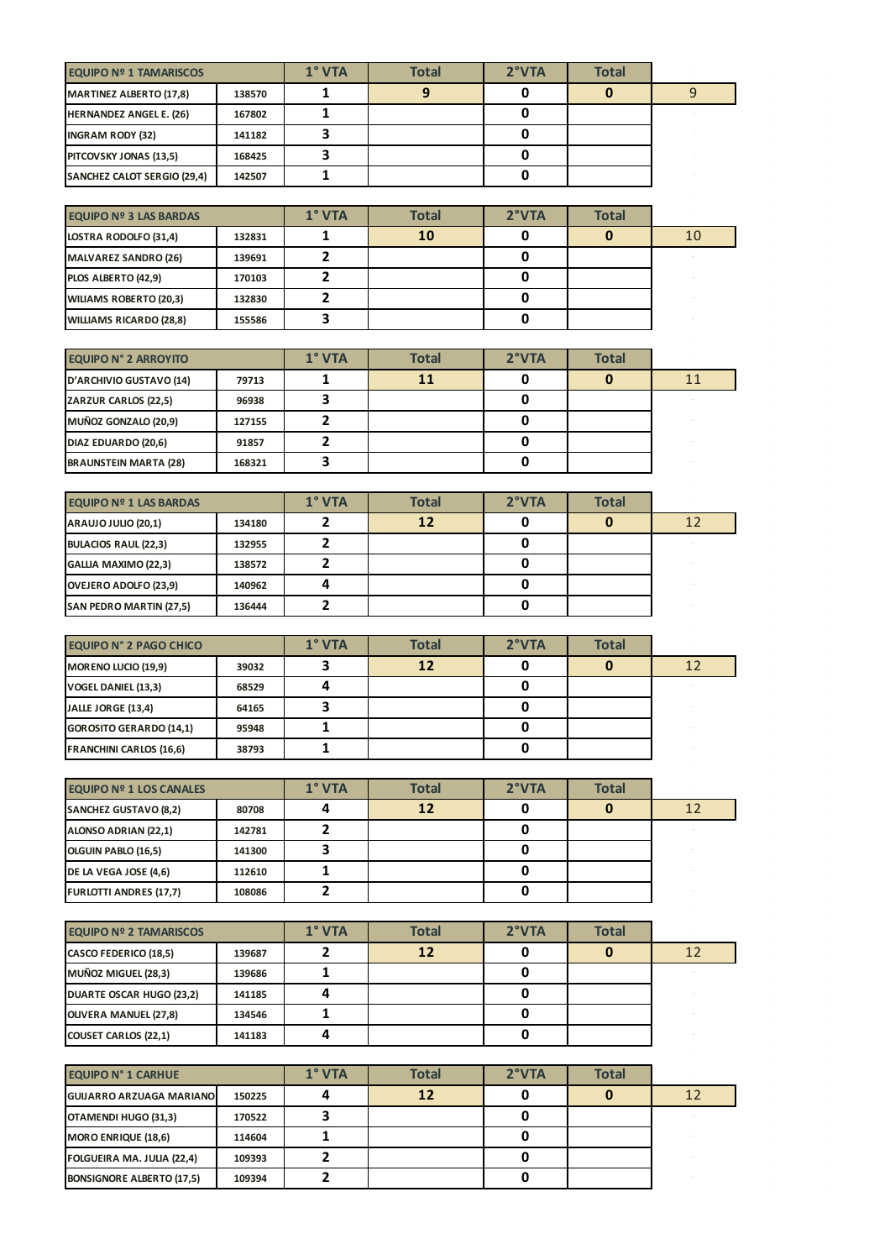| <b>EQUIPO Nº 1 TAMARISCOS</b>  |        | $1^{\circ}$ VTA | <b>Total</b> | 2°VTA | <b>Total</b> |  |
|--------------------------------|--------|-----------------|--------------|-------|--------------|--|
| <b>MARTINEZ ALBERTO (17,8)</b> | 138570 |                 |              |       |              |  |
| <b>HERNANDEZ ANGEL E. (26)</b> | 167802 |                 |              |       |              |  |
| <b>INGRAM RODY (32)</b>        | 141182 |                 |              |       |              |  |
| PITCOVSKY JONAS (13,5)         | 168425 |                 |              |       |              |  |
| SANCHEZ CALOT SERGIO (29,4)    | 142507 |                 |              |       |              |  |

| <b>EQUIPO Nº 3 LAS BARDAS</b>  |        | $1°$ VTA | <b>Total</b> | 2°VTA | <b>Total</b> |    |
|--------------------------------|--------|----------|--------------|-------|--------------|----|
| LOSTRA RODOLFO (31,4)          | 132831 |          | 10           |       |              | 10 |
| <b>MALVAREZ SANDRO (26)</b>    | 139691 |          |              |       |              |    |
| PLOS ALBERTO (42,9)            | 170103 |          |              |       |              |    |
| <b>WILIAMS ROBERTO (20,3)</b>  | 132830 |          |              |       |              |    |
| <b>WILLIAMS RICARDO (28,8)</b> | 155586 |          |              |       |              |    |

| <b>EQUIPO N° 2 ARROYITO</b>  |        | $1°$ VTA | <b>Total</b> | 2°VTA | <b>Total</b> |    |
|------------------------------|--------|----------|--------------|-------|--------------|----|
| D'ARCHIVIO GUSTAVO (14)      | 79713  |          | 11           |       |              | 11 |
| ZARZUR CARLOS (22,5)         | 96938  |          |              |       |              |    |
| MUÑOZ GONZALO (20,9)         | 127155 |          |              |       |              |    |
| DIAZ EDUARDO (20,6)          | 91857  |          |              |       |              |    |
| <b>BRAUNSTEIN MARTA (28)</b> | 168321 |          |              |       |              |    |

| <b>EQUIPO Nº 1 LAS BARDAS</b> |        | $1°$ VTA | <b>Total</b> | 2°VTA | <b>Total</b> |    |
|-------------------------------|--------|----------|--------------|-------|--------------|----|
| <b>ARAUJO JULIO (20,1)</b>    | 134180 |          | 12           |       |              | 12 |
| <b>BULACIOS RAUL (22,3)</b>   | 132955 |          |              |       |              |    |
| <b>GALLIA MAXIMO (22,3)</b>   | 138572 |          |              |       |              |    |
| OVEJERO ADOLFO (23,9)         | 140962 |          |              |       |              |    |
| SAN PEDRO MARTIN (27,5)       | 136444 |          |              |       |              |    |

| <b>EQUIPO N° 2 PAGO CHICO</b>  |       | $1^{\circ}$ VTA | <b>Total</b> | 2°VTA | <b>Total</b> |    |
|--------------------------------|-------|-----------------|--------------|-------|--------------|----|
| <b>MORENO LUCIO (19,9)</b>     | 39032 |                 | 12           |       |              | 12 |
| <b>VOGEL DANIEL (13,3)</b>     | 68529 |                 |              |       |              |    |
| JALLE JORGE (13,4)             | 64165 |                 |              |       |              |    |
| <b>GOROSITO GERARDO (14,1)</b> | 95948 |                 |              |       |              |    |
| <b>FRANCHINI CARLOS (16,6)</b> | 38793 |                 |              |       |              |    |

| <b>EQUIPO Nº 1 LOS CANALES</b> |        | $1^{\circ}$ VTA | <b>Total</b> | 2°VTA | <b>Total</b> |    |
|--------------------------------|--------|-----------------|--------------|-------|--------------|----|
| <b>SANCHEZ GUSTAVO (8,2)</b>   | 80708  |                 | 12           |       |              | 12 |
| ALONSO ADRIAN (22,1)           | 142781 |                 |              |       |              |    |
| OLGUIN PABLO (16,5)            | 141300 |                 |              |       |              |    |
| DE LA VEGA JOSE (4,6)          | 112610 |                 |              |       |              |    |
| <b>FURLOTTI ANDRES (17,7)</b>  | 108086 |                 |              |       |              |    |

| <b>EQUIPO Nº 2 TAMARISCOS</b> |        | $1°$ VTA | <b>Total</b> | 2°VTA | <b>Total</b> |    |
|-------------------------------|--------|----------|--------------|-------|--------------|----|
| <b>CASCO FEDERICO (18,5)</b>  | 139687 |          | 12           |       |              | 12 |
| MUÑOZ MIGUEL (28,3)           | 139686 |          |              |       |              |    |
| DUARTE OSCAR HUGO (23,2)      | 141185 |          |              |       |              |    |
| OLIVERA MANUEL (27,8)         | 134546 |          |              |       |              |    |
| <b>COUSET CARLOS (22,1)</b>   | 141183 |          |              |       |              |    |

| <b>EQUIPO N° 1 CARHUE</b>        |        | $1^{\circ}$ VTA | <b>Total</b> | 2°VTA | <b>Total</b> |    |
|----------------------------------|--------|-----------------|--------------|-------|--------------|----|
| <b>GUIJARRO ARZUAGA MARIANO</b>  | 150225 |                 | 12           |       |              | 12 |
| OTAMENDI HUGO (31,3)             | 170522 |                 |              |       |              |    |
| MORO ENRIQUE (18,6)              | 114604 |                 |              |       |              |    |
| FOLGUEIRA MA. JULIA (22,4)       | 109393 |                 |              |       |              |    |
| <b>BONSIGNORE ALBERTO (17,5)</b> | 109394 |                 |              |       |              |    |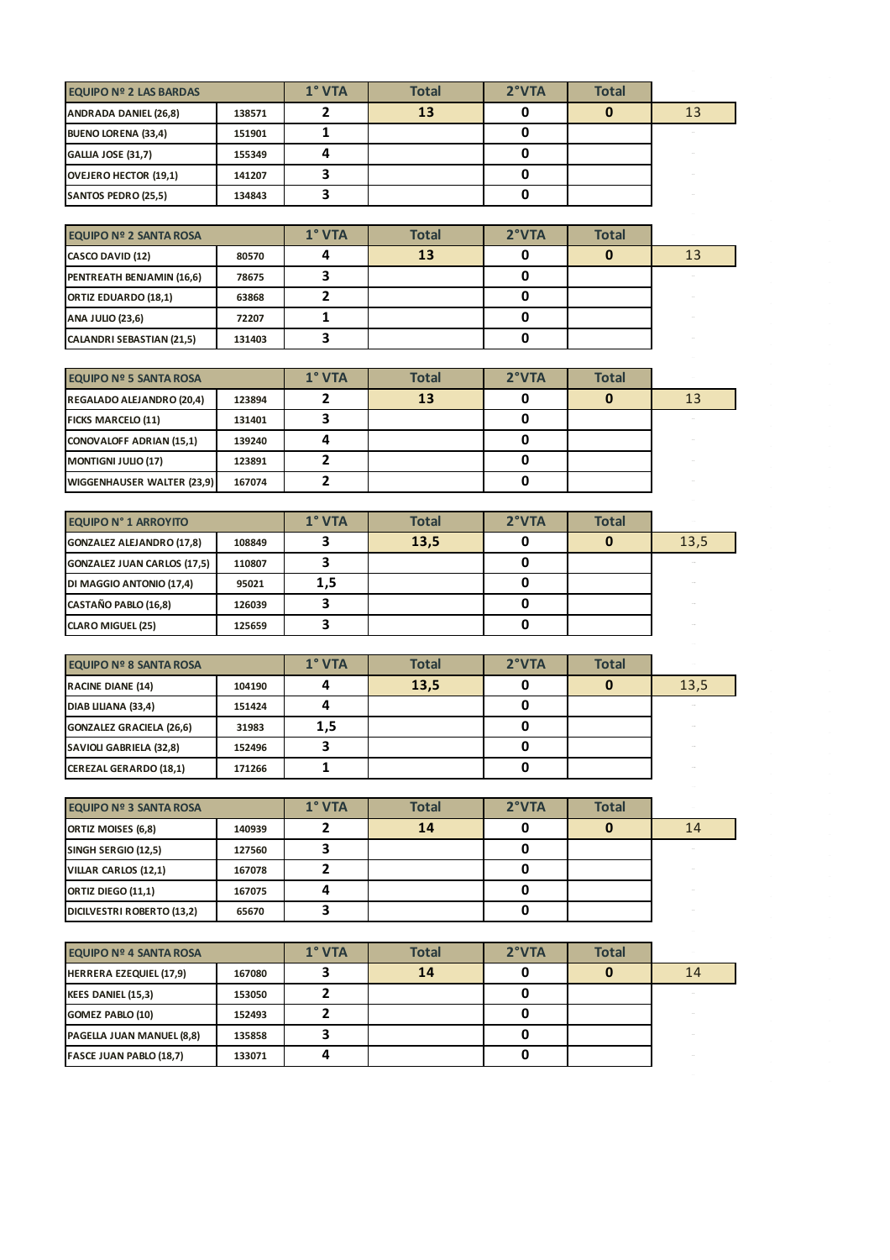| <b>EQUIPO Nº 2 LAS BARDAS</b> |        | $1°$ VTA | <b>Total</b> | 2°VTA | <b>Total</b> |    |
|-------------------------------|--------|----------|--------------|-------|--------------|----|
| <b>ANDRADA DANIEL (26,8)</b>  | 138571 |          | 13           |       |              | 13 |
| <b>BUENO LORENA (33,4)</b>    | 151901 |          |              |       |              |    |
| <b>GALLIA JOSE (31,7)</b>     | 155349 |          |              |       |              |    |
| OVEJERO HECTOR (19,1)         | 141207 |          |              |       |              |    |
| SANTOS PEDRO (25,5)           | 134843 |          |              |       |              |    |

| <b>EQUIPO Nº 2 SANTA ROSA</b>    |        | $1°$ VTA | <b>Total</b> | 2°VTA | <b>Total</b> |    |
|----------------------------------|--------|----------|--------------|-------|--------------|----|
| <b>CASCO DAVID (12)</b>          | 80570  |          | 13           |       |              | 13 |
| PENTREATH BENJAMIN (16,6)        | 78675  |          |              |       |              |    |
| ORTIZ EDUARDO (18,1)             | 63868  |          |              |       |              |    |
| <b>ANA JULIO (23,6)</b>          | 72207  |          |              |       |              |    |
| <b>CALANDRI SEBASTIAN (21,5)</b> | 131403 |          |              |       |              |    |

| <b>EQUIPO Nº 5 SANTA ROSA</b>     |        | $1^{\circ}$ VTA | <b>Total</b> | 2°VTA | <b>Total</b> |    |
|-----------------------------------|--------|-----------------|--------------|-------|--------------|----|
| REGALADO ALEJANDRO (20,4)         | 123894 |                 | 13           |       |              | 13 |
| <b>FICKS MARCELO (11)</b>         | 131401 |                 |              |       |              |    |
| <b>CONOVALOFF ADRIAN (15,1)</b>   | 139240 |                 |              |       |              |    |
| <b>MONTIGNI JULIO (17)</b>        | 123891 |                 |              |       |              |    |
| <b>WIGGENHAUSER WALTER (23,9)</b> | 167074 |                 |              |       |              |    |

| <b>EQUIPO N° 1 ARROYITO</b>        |        | $1^{\circ}$ VTA | <b>Total</b> | 2°VTA | <b>Total</b> |      |
|------------------------------------|--------|-----------------|--------------|-------|--------------|------|
| <b>GONZALEZ ALEJANDRO (17,8)</b>   | 108849 |                 | 13,5         |       |              | 13,5 |
| <b>GONZALEZ JUAN CARLOS (17,5)</b> | 110807 |                 |              |       |              |      |
| DI MAGGIO ANTONIO (17,4)           | 95021  | 1,5             |              |       |              | 1.11 |
| CASTAÑO PABLO (16,8)               | 126039 |                 |              |       |              | 1.11 |
| <b>CLARO MIGUEL (25)</b>           | 125659 |                 |              |       |              |      |

| <b>EQUIPO Nº 8 SANTA ROSA</b>   |        | $1^{\circ}$ VTA | <b>Total</b> | 2°VTA | <b>Total</b> |      |
|---------------------------------|--------|-----------------|--------------|-------|--------------|------|
| <b>RACINE DIANE (14)</b>        | 104190 |                 | 13,5         |       |              | 13,5 |
| DIAB LILIANA (33,4)             | 151424 |                 |              |       |              |      |
| <b>GONZALEZ GRACIELA (26,6)</b> | 31983  | 1,5             |              |       |              |      |
| SAVIOLI GABRIELA (32,8)         | 152496 |                 |              |       |              |      |
| <b>CEREZAL GERARDO (18,1)</b>   | 171266 |                 |              |       |              |      |

| <b>EQUIPO Nº 3 SANTA ROSA</b> |        | $1°$ VTA | <b>Total</b> | 2°VTA | <b>Total</b> |    |
|-------------------------------|--------|----------|--------------|-------|--------------|----|
| ORTIZ MOISES (6,8)            | 140939 |          | 14           |       |              | 14 |
| SINGH SERGIO (12,5)           | 127560 |          |              |       |              |    |
| VILLAR CARLOS (12,1)          | 167078 |          |              |       |              |    |
| ORTIZ DIEGO (11,1)            | 167075 |          |              |       |              |    |
| DICILVESTRI ROBERTO (13,2)    | 65670  |          |              |       |              |    |

| <b>EQUIPO Nº 4 SANTA ROSA</b>    |        | $1^{\circ}$ VTA | <b>Total</b> | 2°VTA | <b>Total</b> |    |
|----------------------------------|--------|-----------------|--------------|-------|--------------|----|
| <b>HERRERA EZEQUIEL (17,9)</b>   | 167080 |                 | 14           |       |              | 14 |
| <b>KEES DANIEL (15,3)</b>        | 153050 |                 |              |       |              |    |
| <b>GOMEZ PABLO (10)</b>          | 152493 |                 |              |       |              |    |
| <b>PAGELLA JUAN MANUEL (8,8)</b> | 135858 |                 |              |       |              |    |
| <b>FASCE JUAN PABLO (18,7)</b>   | 133071 |                 |              |       |              |    |